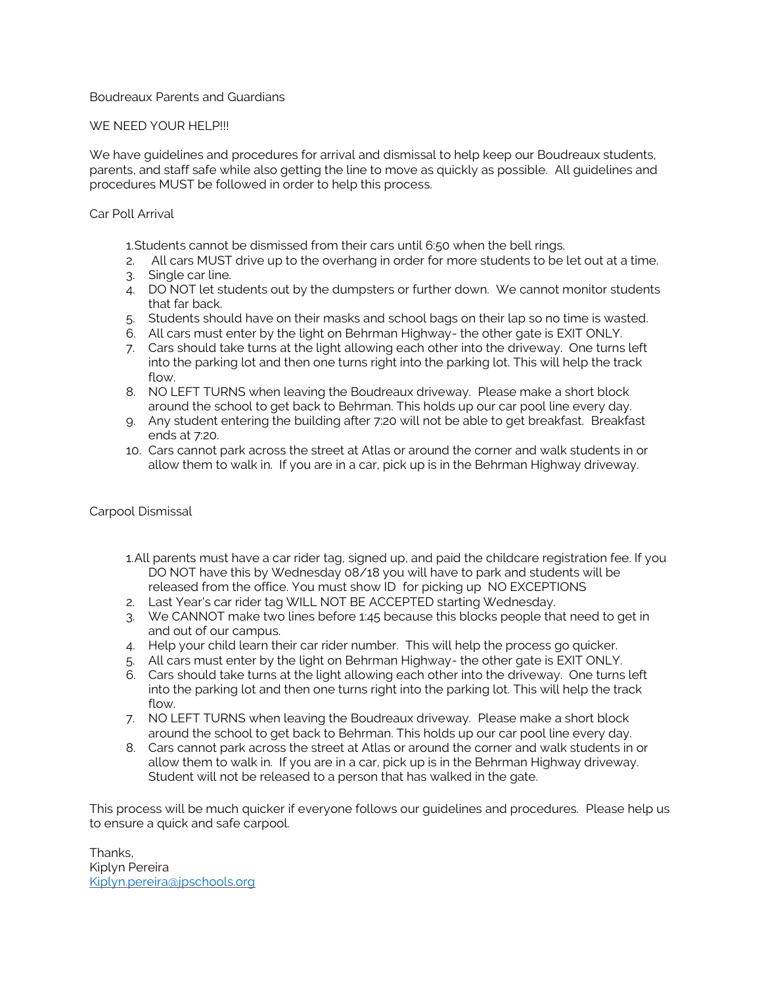# Boudreaux Parents and Guardians

# WE NEED YOUR HELP!!!

We have guidelines and procedures for arrival and dismissal to help keep our Boudreaux students, parents, and staff safe while also getting the line to move as quickly as possible. All guidelines and procedures MUST be followed in order to help this process.

## Car Poll Arrival

1.Students cannot be dismissed from their cars until 6:50 when the bell rings.

- 2. All cars MUST drive up to the overhang in order for more students to be let out at a time.
- 3. Single car line.
- 4. DO NOT let students out by the dumpsters or further down. We cannot monitor students that far back.
- 5. Students should have on their masks and school bags on their lap so no time is wasted.
- 6. All cars must enter by the light on Behrman Highway- the other gate is EXIT ONLY.
- 7. Cars should take turns at the light allowing each other into the driveway. One turns left into the parking lot and then one turns right into the parking lot. This will help the track flow.
- 8. NO LEFT TURNS when leaving the Boudreaux driveway. Please make a short block around the school to get back to Behrman. This holds up our car pool line every day.
- 9. Any student entering the building after 7:20 will not be able to get breakfast. Breakfast ends at 7:20.
- 10. Cars cannot park across the street at Atlas or around the corner and walk students in or allow them to walk in. If you are in a car, pick up is in the Behrman Highway driveway.

## Carpool Dismissal

- 1.All parents must have a car rider tag, signed up, and paid the childcare registration fee. If you DO NOT have this by Wednesday 08/18 you will have to park and students will be released from the office. You must show ID for picking up NO EXCEPTIONS
- 2. Last Year's car rider tag WILL NOT BE ACCEPTED starting Wednesday.
- 3. We CANNOT make two lines before 1:45 because this blocks people that need to get in and out of our campus.
- 4. Help your child learn their car rider number. This will help the process go quicker.
- 5. All cars must enter by the light on Behrman Highway- the other gate is EXIT ONLY.
- 6. Cars should take turns at the light allowing each other into the driveway. One turns left into the parking lot and then one turns right into the parking lot. This will help the track flow.
- 7. NO LEFT TURNS when leaving the Boudreaux driveway. Please make a short block around the school to get back to Behrman. This holds up our car pool line every day.
- 8. Cars cannot park across the street at Atlas or around the corner and walk students in or allow them to walk in. If you are in a car, pick up is in the Behrman Highway driveway. Student will not be released to a person that has walked in the gate.

This process will be much quicker if everyone follows our guidelines and procedures. Please help us to ensure a quick and safe carpool.

Thanks, Kiplyn Pereira [Kiplyn.pereira@jpschools.org](mailto:Kiplyn.pereira@jpschools.org)